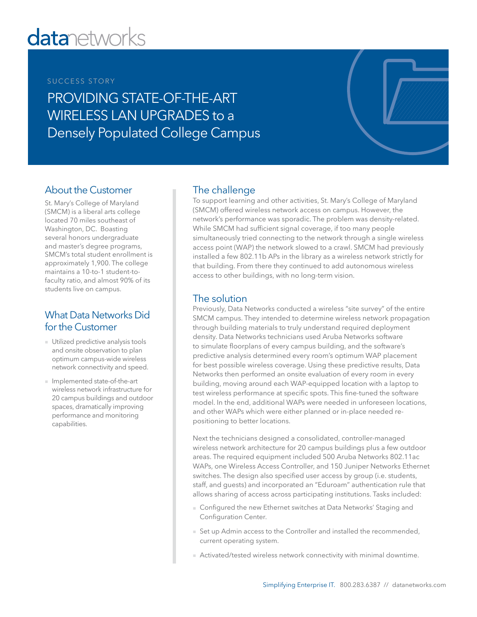# **datanetworks**

## SUCCESS STORY

PROVIDING STATE-OF-THE-ART WIRELESS LAN UPGRADES to a Densely Populated College Campus

## About the Customer

St. Mary's College of Maryland (SMCM) is a liberal arts college located 70 miles southeast of Washington, DC. Boasting several honors undergraduate and master's degree programs, SMCM's total student enrollment is approximately 1,900. The college maintains a 10-to-1 student-tofaculty ratio, and almost 90% of its students live on campus.

## What Data Networks Did for the Customer

- Utilized predictive analysis tools and onsite observation to plan optimum campus-wide wireless network connectivity and speed.
- Implemented state-of-the-art wireless network infrastructure for 20 campus buildings and outdoor spaces, dramatically improving performance and monitoring capabilities.

## The challenge

To support learning and other activities, St. Mary's College of Maryland (SMCM) offered wireless network access on campus. However, the network's performance was sporadic. The problem was density-related. While SMCM had sufficient signal coverage, if too many people simultaneously tried connecting to the network through a single wireless access point (WAP) the network slowed to a crawl. SMCM had previously installed a few 802.11b APs in the library as a wireless network strictly for that building. From there they continued to add autonomous wireless access to other buildings, with no long-term vision.

### The solution

Previously, Data Networks conducted a wireless "site survey" of the entire SMCM campus. They intended to determine wireless network propagation through building materials to truly understand required deployment density. Data Networks technicians used Aruba Networks software to simulate floorplans of every campus building, and the software's predictive analysis determined every room's optimum WAP placement for best possible wireless coverage. Using these predictive results, Data Networks then performed an onsite evaluation of every room in every building, moving around each WAP-equipped location with a laptop to test wireless performance at specific spots. This fine-tuned the software model. In the end, additional WAPs were needed in unforeseen locations, and other WAPs which were either planned or in-place needed repositioning to better locations.

Next the technicians designed a consolidated, controller-managed wireless network architecture for 20 campus buildings plus a few outdoor areas. The required equipment included 500 Aruba Networks 802.11ac WAPs, one Wireless Access Controller, and 150 Juniper Networks Ethernet switches. The design also specified user access by group (i.e. students, staff, and guests) and incorporated an "Eduroam" authentication rule that allows sharing of access across participating institutions. Tasks included:

- Configured the new Ethernet switches at Data Networks' Staging and Configuration Center.
- Set up Admin access to the Controller and installed the recommended, current operating system.
- Activated/tested wireless network connectivity with minimal downtime.